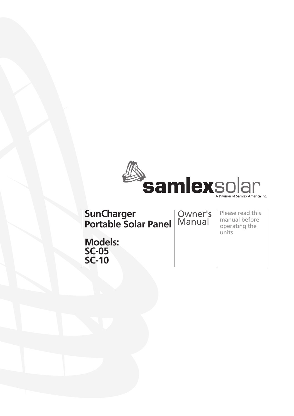

**SunCharger Portable Solar Panel** Owner's Manual

Please read this manual before operating the units

**Models: SC-10**

**SC-05**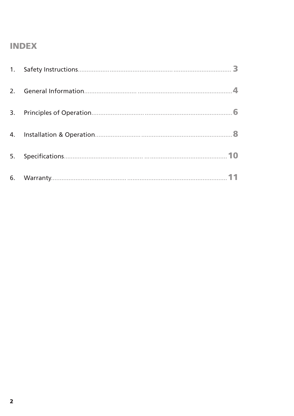#### **INDEX**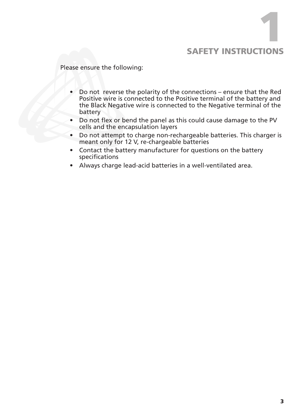## SAFETY INSTRUCTIONS 1

Please ensure the following:

- Do not reverse the polarity of the connections ensure that the Red Positive wire is connected to the Positive terminal of the battery and the Black Negative wire is connected to the Negative terminal of the battery
- Do not flex or bend the panel as this could cause damage to the PV cells and the encapsulation layers
- Do not attempt to charge non-rechargeable batteries. This charger is meant only for 12 V, re-chargeable batteries
- Contact the battery manufacturer for questions on the battery specifications
- • Always charge lead-acid batteries in a well-ventilated area.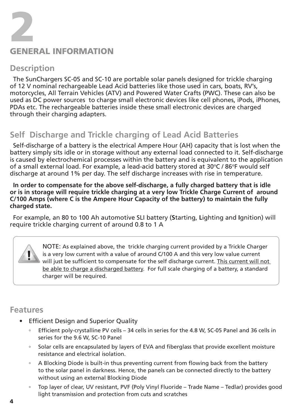

#### **Description**

The SunChargers SC-05 and SC-10 are portable solar panels designed for trickle charging of 12 V nominal rechargeable Lead Acid batteries like those used in cars, boats, RV's, motorcycles, All Terrain Vehicles (ATV) and Powered Water Crafts (PWC). These can also be used as DC power sources to charge small electronic devices like cell phones, iPods, iPhones, PDAs etc. The rechargeable batteries inside these small electronic devices are charged through their charging adapters.

### **Self Discharge and Trickle charging of Lead Acid Batteries**

Self-discharge of a battery is the electrical Ampere Hour (AH) capacity that is lost when the battery simply sits idle or in storage without any external load connected to it. Self-discharge is caused by electrochemical processes within the battery and is equivalent to the application of a small external load. For example, a lead-acid battery stored at 30°C / 86°F would self discharge at around 1% per day. The self discharge increases with rise in temperature.

**In order to compensate for the above self-discharge, a fully charged battery that is idle or is in storage will require trickle charging at a very low Trickle Charge Current of around C/100 Amps (where C is the Ampere Hour Capacity of the battery) to maintain the fully charged state.** 

For example, an 80 to 100 Ah automotive SLI battery (**S**tarting, **L**ighting and **I**gnition) will require trickle charging current of around 0.8 to 1 A

> NOTE: As explained above, the trickle charging current provided by a Trickle Charger is a very low current with a value of around C/100 A and this very low value current will just be sufficient to compensate for the self discharge current. This current will not be able to charge a discharged battery. For full scale charging of a battery, a standard charger will be required.

#### **Features**

- • Efficient Design and Superior Quality
	- Efficient poly-crystalline PV cells 34 cells in series for the 4.8 W, SC-05 Panel and 36 cells in series for the 9.6 W, SC-10 Panel
	- Solar cells are encapsulated by layers of EVA and fiberglass that provide excellent moisture resistance and electrical isolation.
	- A Blocking Diode is built-in thus preventing current from flowing back from the battery to the solar panel in darkness. Hence, the panels can be connected directly to the battery without using an external Blocking Diode
	- Top layer of clear, UV resistant, PVF (Poly Vinyl Fluoride Trade Name Tedlar) provides good light transmission and protection from cuts and scratches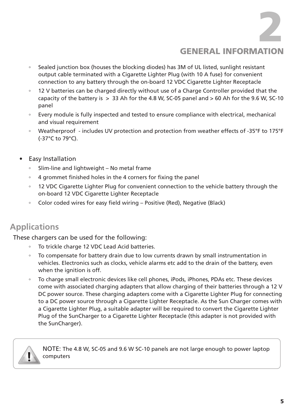General information 2

- Sealed junction box (houses the blocking diodes) has 3M of UL listed, sunlight resistant output cable terminated with a Cigarette Lighter Plug (with 10 A fuse) for convenient connection to any battery through the on-board 12 VDC Cigarette Lighter Receptacle
- 12 V batteries can be charged directly without use of a Charge Controller provided that the capacity of the battery is  $>$  33 Ah for the 4.8 W, SC-05 panel and  $>$  60 Ah for the 9.6 W, SC-10 panel
- Every module is fully inspected and tested to ensure compliance with electrical, mechanical and visual requirement
- Weatherproof includes UV protection and protection from weather effects of -35°F to 175°F (-37°C to 79°C).
- **Easy Installation** 
	- Slim-line and lightweight No metal frame
	- 4 grommet finished holes in the 4 corners for fixing the panel
	- 12 VDC Cigarette Lighter Plug for convenient connection to the vehicle battery through the on-board 12 VDC Cigarette Lighter Receptacle
	- Color coded wires for easy field wiring Positive (Red), Negative (Black)

## **Applications**

These chargers can be used for the following:

 

- To trickle charge 12 VDC Lead Acid batteries.
- To compensate for battery drain due to low currents drawn by small instrumentation in vehicles. Electronics such as clocks, vehicle alarms etc add to the drain of the battery, even when the ignition is off.
- To charge small electronic devices like cell phones, iPods, iPhones, PDAs etc. These devices come with associated charging adapters that allow charging of their batteries through a 12 V DC power source. These charging adapters come with a Cigarette Lighter Plug for connecting to a DC power source through a Cigarette Lighter Receptacle. As the Sun Charger comes with a Cigarette Lighter Plug, a suitable adapter will be required to convert the Cigarette Lighter Plug of the SunCharger to a Cigarette Lighter Receptacle (this adapter is not provided with the SunCharger).



NOTE: The 4.8 W, SC-05 and 9.6 W SC-10 panels are not large enough to power laptop computers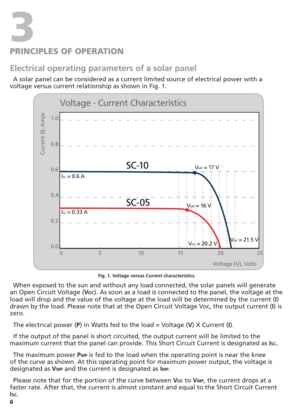## **3 CIPLES OF OPERATION**

### **Electrical operating parameters of a solar panel**

A solar panel can be considered as a current limited source of electrical power with a voltage versus current relationship as shown in Fig. 1.



**Fig. 1. Voltage versus Current characteristics.**

When exposed to the sun and without any load connected, the solar panels will generate an Open Circuit Voltage (**Voc**). As soon as a load is connected to the panel, the voltage at the load will drop and the value of the voltage at the load will be determined by the current (**I**) drawn by the load. Please note that at the Open Circuit Voltage Voc, the output current (**I**) is zero.

The electrical power (**P**) in Watts fed to the load = Voltage (**V**) X Current (**I**).

If the output of the panel is short circuited, the output current will be limited to the maximum current that the panel can provide. This Short Circuit Current is designated as **Isc.**

The maximum power **Pmp** is fed to the load when the operating point is near the knee of the curve as shown. At this operating point for maximum power output, the voltage is designated as **Vmp** and the current is designated as **Imp**.

Please note that for the portion of the curve between **Voc** to **Vmp**, the current drops at a faster rate. After that, the current is almost constant and equal to the Short Circuit Current **Isc**.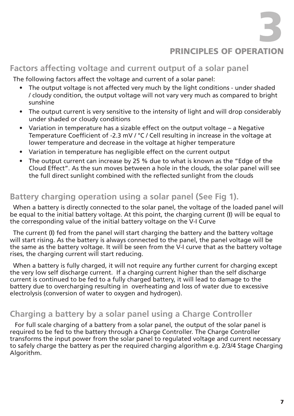```
3
```
#### PRINCIPI ES OF OPERATION

#### **Factors affecting voltage and current output of a solar panel**

The following factors affect the voltage and current of a solar panel:

- The output voltage is not affected very much by the light conditions under shaded / cloudy condition, the output voltage will not vary very much as compared to bright sunshine
- • The output current is very sensitive to the intensity of light and will drop considerably under shaded or cloudy conditions
- Variation in temperature has a sizable effect on the output voltage a Negative Temperature Coefficient of -2.3 mV / °C / Cell resulting in increase in the voltage at lower temperature and decrease in the voltage at higher temperature
- • Variation in temperature has negligible effect on the current output
- The output current can increase by 25 % due to what is known as the "Edge of the Cloud Effect". As the sun moves between a hole in the clouds, the solar panel will see the full direct sunlight combined with the reflected sunlight from the clouds

#### **Battery charging operation using a solar panel (See Fig 1).**

When a battery is directly connected to the solar panel, the voltage of the loaded panel will be equal to the initial battery voltage. At this point, the charging current (**I**) will be equal to the corresponding value of the initial battery voltage on the V-I Curve

The current (**I**) fed from the panel will start charging the battery and the battery voltage will start rising. As the battery is always connected to the panel, the panel voltage will be the same as the battery voltage. It will be seen from the V-I curve that as the battery voltage rises, the charging current will start reducing.

When a battery is fully charged, it will not require any further current for charging except the very low self discharge current. If a charging current higher than the self discharge current is continued to be fed to a fully charged battery, it will lead to damage to the battery due to overcharging resulting in overheating and loss of water due to excessive electrolysis (conversion of water to oxygen and hydrogen).

#### **Charging a battery by a solar panel using a Charge Controller**

For full scale charging of a battery from a solar panel, the output of the solar panel is required to be fed to the battery through a Charge Controller. The Charge Controller transforms the input power from the solar panel to regulated voltage and current necessary to safely charge the battery as per the required charging algorithm e.g. 2/3/4 Stage Charging Algorithm.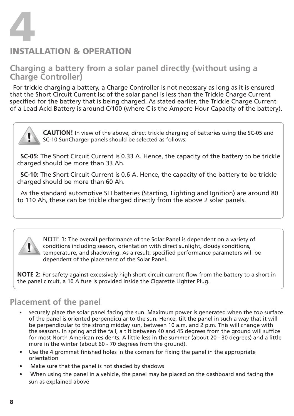

#### Installation & OPERATION

#### **Charging a battery from a solar panel directly (without using a Charge Controller)**

For trickle charging a battery, a Charge Controller is not necessary as long as it is ensured that the Short Circuit Current **Isc** of the solar panel is less than the Trickle Charge Current specified for the battery that is being charged. As stated earlier, the Trickle Charge Current of a Lead Acid Battery is around C/100 (where C is the Ampere Hour Capacity of the battery).

> **CAUTION!** In view of the above, direct trickle charging of batteries using the SC-05 and SC-10 SunCharger panels should be selected as follows:

**SC-05:** The Short Circuit Current is 0.33 A. Hence, the capacity of the battery to be trickle charged should be more than 33 Ah.

**SC-10:** The Short Circuit Current is 0.6 A. Hence, the capacity of the battery to be trickle charged should be more than 60 Ah.

As the standard automotive SLI batteries (Starting, Lighting and Ignition) are around 80 to 110 Ah, these can be trickle charged directly from the above 2 solar panels.



NOTE 1: The overall performance of the Solar Panel is dependent on a variety of conditions including season, orientation with direct sunlight, cloudy conditions, temperature, and shadowing. As a result, specified performance parameters will be dependent of the placement of the Solar Panel.

**NOTE 2:** For safety against excessively high short circuit current flow from the battery to a short in the panel circuit, a 10 A fuse is provided inside the Cigarette Lighter Plug.

#### **Placement of the panel**

- Securely place the solar panel facing the sun. Maximum power is generated when the top surface of the panel is oriented perpendicular to the sun. Hence, tilt the panel in such a way that it will be perpendicular to the strong midday sun, between 10 a.m. and 2 p.m. This will change with the seasons. In spring and the fall, a tilt between 40 and 45 degrees from the ground will suffice for most North American residents. A little less in the summer (about 20 - 30 degrees) and a little more in the winter (about 60 - 70 degrees from the ground).
- Use the 4 grommet finished holes in the corners for fixing the panel in the appropriate orientation
- Make sure that the panel is not shaded by shadows
- When using the panel in a vehicle, the panel may be placed on the dashboard and facing the sun as explained above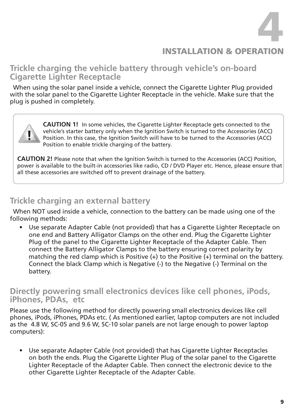4

#### **INSTALLATION & OPERATI**

#### **Trickle charging the vehicle battery through vehicle's on-board Cigarette Lighter Receptacle**

When using the solar panel inside a vehicle, connect the Cigarette Lighter Plug provided with the solar panel to the Cigarette Lighter Receptacle in the vehicle. Make sure that the plug is pushed in completely.

> **CAUTION 1!** In some vehicles, the Cigarette Lighter Receptacle gets connected to the vehicle's starter battery only when the Ignition Switch is turned to the Accessories (ACC) Position. In this case, the Ignition Switch will have to be turned to the Accessories (ACC) Position to enable trickle charging of the battery.

**CAUTION 2!** Please note that when the Ignition Switch is turned to the Accessories (ACC) Position, power is available to the built-in accessories like radio, CD / DVD Player etc. Hence, please ensure that all these accessories are switched off to prevent drainage of the battery.

#### **Trickle charging an external battery**

When NOT used inside a vehicle, connection to the battery can be made using one of the following methods:

Use separate Adapter Cable (not provided) that has a Cigarette Lighter Receptacle on one end and Battery Alligator Clamps on the other end. Plug the Cigarette Lighter Plug of the panel to the Cigarette Lighter Receptacle of the Adapter Cable. Then connect the Battery Alligator Clamps to the battery ensuring correct polarity by matching the red clamp which is Positive  $(+)$  to the Positive  $(+)$  terminal on the battery. Connect the black Clamp which is Negative (-) to the Negative (-) Terminal on the battery.

#### **Directly powering small electronics devices like cell phones, iPods, iPhones, PDAs, etc**

Please use the following method for directly powering small electronics devices like cell phones, iPods, iPhones, PDAs etc. ( As mentioned earlier, laptop computers are not included as the 4.8 W, SC-05 and 9.6 W, SC-10 solar panels are not large enough to power laptop computers):

• Use separate Adapter Cable (not provided) that has Cigarette Lighter Receptacles on both the ends. Plug the Cigarette Lighter Plug of the solar panel to the Cigarette Lighter Receptacle of the Adapter Cable. Then connect the electronic device to the other Cigarette Lighter Receptacle of the Adapter Cable.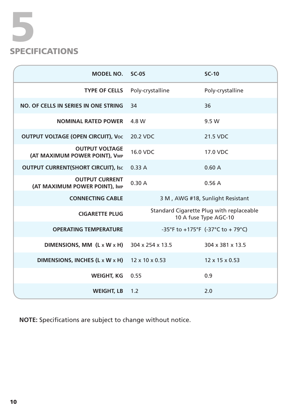# 5  $\mathsf{s}$

| <b>MODEL NO.</b>                                       | $SC-05$                                                                                                | $SC-10$                          |
|--------------------------------------------------------|--------------------------------------------------------------------------------------------------------|----------------------------------|
| <b>TYPE OF CELLS</b>                                   | Poly-crystalline                                                                                       | Poly-crystalline                 |
| NO. OF CELLS IN SERIES IN ONE STRING                   | 34                                                                                                     | 36                               |
| <b>NOMINAL RATED POWER</b>                             | 4.8 W                                                                                                  | 9.5 W                            |
| <b>OUTPUT VOLTAGE (OPEN CIRCUIT), Voc</b>              | 20.2 VDC                                                                                               | 21.5 VDC                         |
| <b>OUTPUT VOLTAGE</b><br>(AT MAXIMUM POWER POINT), VMP | 16.0 VDC                                                                                               | 17.0 VDC                         |
| <b>OUTPUT CURRENT(SHORT CIRCUIT), Isc.</b>             | 0.33A                                                                                                  | 0.60A                            |
| <b>OUTPUT CURRENT</b><br>(AT MAXIMUM POWER POINT), IMP | 0.30A                                                                                                  | 0.56A                            |
| <b>CONNECTING CABLE</b>                                |                                                                                                        | 3 M, AWG #18, Sunlight Resistant |
| <b>CIGARETTE PLUG</b>                                  | Standard Cigarette Plug with replaceable<br>10 A fuse Type AGC-10<br>-35°F to +175°F (-37°C to + 79°C) |                                  |
| <b>OPERATING TEMPERATURE</b>                           |                                                                                                        |                                  |
| DIMENSIONS, MM $(L \times W \times H)$                 | 304 x 254 x 13.5                                                                                       | 304 x 381 x 13.5                 |
| DIMENSIONS, INCHES (L x W x H)                         | 12 x 10 x 0.53                                                                                         | 12 x 15 x 0.53                   |
| <b>WEIGHT, KG</b>                                      | 0.55                                                                                                   | 0.9                              |
| <b>WEIGHT, LB</b>                                      | 1.2                                                                                                    | 2.0                              |

**NOTE:** Specifications are subject to change without notice.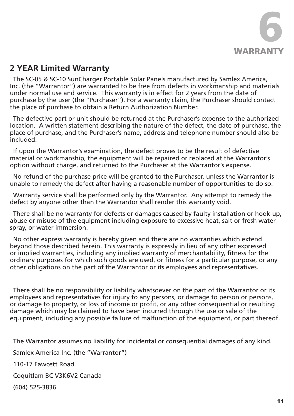

#### **2 YEAR Limited Warranty**

The SC-05 & SC-10 SunCharger Portable Solar Panels manufactured by Samlex America, Inc. (the "Warrantor") are warranted to be free from defects in workmanship and materials under normal use and service. This warranty is in effect for 2 years from the date of purchase by the user (the "Purchaser"). For a warranty claim, the Purchaser should contact the place of purchase to obtain a Return Authorization Number.

The defective part or unit should be returned at the Purchaser's expense to the authorized location. A written statement describing the nature of the defect, the date of purchase, the place of purchase, and the Purchaser's name, address and telephone number should also be included.

If upon the Warrantor's examination, the defect proves to be the result of defective material or workmanship, the equipment will be repaired or replaced at the Warrantor's option without charge, and returned to the Purchaser at the Warrantor's expense.

No refund of the purchase price will be granted to the Purchaser, unless the Warrantor is unable to remedy the defect after having a reasonable number of opportunities to do so.

Warranty service shall be performed only by the Warrantor. Any attempt to remedy the defect by anyone other than the Warrantor shall render this warranty void.

There shall be no warranty for defects or damages caused by faulty installation or hook-up, abuse or misuse of the equipment including exposure to excessive heat, salt or fresh water spray, or water immersion.

No other express warranty is hereby given and there are no warranties which extend beyond those described herein. This warranty is expressly in lieu of any other expressed or implied warranties, including any implied warranty of merchantability, fitness for the ordinary purposes for which such goods are used, or fitness for a particular purpose, or any other obligations on the part of the Warrantor or its employees and representatives.

There shall be no responsibility or liability whatsoever on the part of the Warrantor or its employees and representatives for injury to any persons, or damage to person or persons, or damage to property, or loss of income or profit, or any other consequential or resulting damage which may be claimed to have been incurred through the use or sale of the equipment, including any possible failure of malfunction of the equipment, or part thereof.

The Warrantor assumes no liability for incidental or consequential damages of any kind.

Samlex America Inc. (the "Warrantor")

110-17 Fawcett Road

Coquitlam BC V3K6V2 Canada

(604) 525-3836